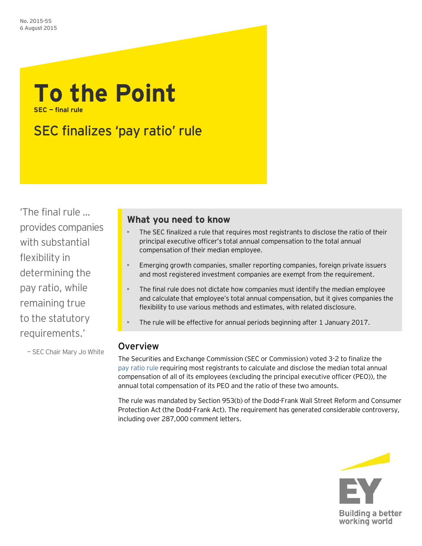## **To the Point SEC — final rule**

# SEC finalizes 'pay ratio' rule

'The final rule … provides companies with substantial flexibility in determining the pay ratio, while remaining true to the statutory requirements.'

— SEC Chair Mary Jo White

## **What you need to know**

- The SEC finalized a rule that requires most registrants to disclose the ratio of their principal executive officer's total annual compensation to the total annual compensation of their median employee.
- Emerging growth companies, smaller reporting companies, foreign private issuers and most registered investment companies are exempt from the requirement.
- The final rule does not dictate how companies must identify the median employee and calculate that employee's total annual compensation, but it gives companies the flexibility to use various methods and estimates, with related disclosure.
- The rule will be effective for annual periods beginning after 1 January 2017.

## Overview

The Securities and Exchange Commission (SEC or Commission) voted 3-2 to finalize the pay [ratio rule](http://www.sec.gov/rules/final/2015/33-9877.pdf) requiring most registrants to calculate and disclose the median total annual compensation of all of its employees (excluding the principal executive officer (PEO)), the annual total compensation of its PEO and the ratio of these two amounts.

The rule was mandated by Section 953(b) of the Dodd-Frank Wall Street Reform and Consumer Protection Act (the Dodd-Frank Act). The requirement has generated considerable controversy, including over 287,000 comment letters.

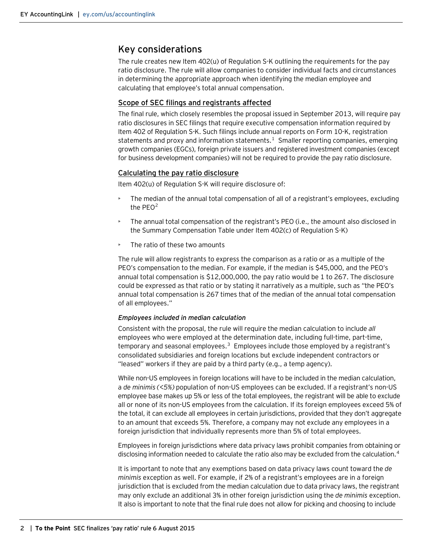### Key considerations

The rule creates new Item 402(u) of Regulation S-K outlining the requirements for the pay ratio disclosure. The rule will allow companies to consider individual facts and circumstances in determining the appropriate approach when identifying the median employee and calculating that employee's total annual compensation.

#### Scope of SEC filings and registrants affected

The final rule, which closely resembles the proposal issued in September 2013, will require pay ratio disclosures in SEC filings that require executive compensation information required by Item 402 of Regulation S-K. Such filings include annual reports on Form 10-K, registration statements and proxy and information statements.<sup>1</sup> Smaller reporting companies, emerging growth companies (EGCs), foreign private issuers and registered investment companies (except for business development companies) will not be required to provide the pay ratio disclosure.

#### Calculating the pay ratio disclosure

Item 402(u) of Regulation S-K will require disclosure of:

- The median of the annual total compensation of all of a registrant's employees, excluding the  $PEO<sup>2</sup>$  $PEO<sup>2</sup>$  $PEO<sup>2</sup>$
- The annual total compensation of the registrant's PEO (i.e., the amount also disclosed in the Summary Compensation Table under Item 402(c) of Regulation S-K)
- The ratio of these two amounts

The rule will allow registrants to express the comparison as a ratio or as a multiple of the PEO's compensation to the median. For example, if the median is \$45,000, and the PEO's annual total compensation is \$12,000,000, the pay ratio would be 1 to 267. The disclosure could be expressed as that ratio or by stating it narratively as a multiple, such as "the PEO's annual total compensation is 267 times that of the median of the annual total compensation of all employees."

#### *Employees included in median calculation*

Consistent with the proposal, the rule will require the median calculation to include *all* employees who were employed at the determination date, including full-time, part-time, temporary and seasonal employees. $3$  Employees include those employed by a registrant's consolidated subsidiaries and foreign locations but exclude independent contractors or "leased" workers if they are paid by a third party (e.g., a temp agency).

While non-US employees in foreign locations will have to be included in the median calculation, a *de minimis (<5%)* population of non-US employees can be excluded. If a registrant's non-US employee base makes up 5% or less of the total employees, the registrant will be able to exclude all or none of its non-US employees from the calculation. If its foreign employees exceed 5% of the total, it can exclude all employees in certain jurisdictions, provided that they don't aggregate to an amount that exceeds 5%. Therefore, a company may not exclude any employees in a foreign jurisdiction that individually represents more than 5% of total employees.

Employees in foreign jurisdictions where data privacy laws prohibit companies from obtaining or disclosing information needed to calculate the ratio also may be excluded from the calculation.<sup>[4](#page-3-3)</sup>

It is important to note that any exemptions based on data privacy laws count toward the *de minimis* exception as well. For example, if 2% of a registrant's employees are in a foreign jurisdiction that is excluded from the median calculation due to data privacy laws, the registrant may only exclude an additional 3% in other foreign jurisdiction using the *de minimis* exception. It also is important to note that the final rule does not allow for picking and choosing to include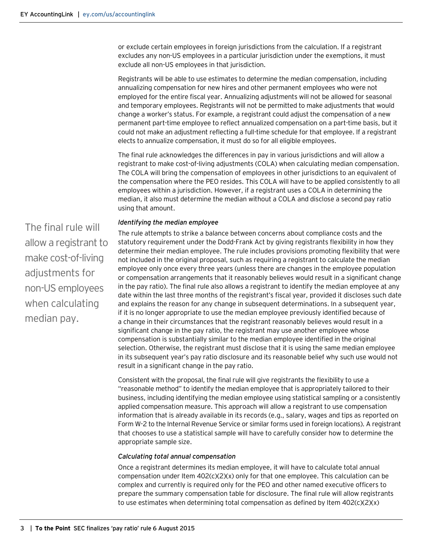or exclude certain employees in foreign jurisdictions from the calculation. If a registrant excludes any non-US employees in a particular jurisdiction under the exemptions, it must exclude all non-US employees in that jurisdiction.

Registrants will be able to use estimates to determine the median compensation, including annualizing compensation for new hires and other permanent employees who were not employed for the entire fiscal year. Annualizing adjustments will not be allowed for seasonal and temporary employees. Registrants will not be permitted to make adjustments that would change a worker's status. For example, a registrant could adjust the compensation of a new permanent part-time employee to reflect annualized compensation on a part-time basis, but it could not make an adjustment reflecting a full-time schedule for that employee. If a registrant elects to annualize compensation, it must do so for all eligible employees.

The final rule acknowledges the differences in pay in various jurisdictions and will allow a registrant to make cost-of-living adjustments (COLA) when calculating median compensation. The COLA will bring the compensation of employees in other jurisdictions to an equivalent of the compensation where the PEO resides. This COLA will have to be applied consistently to all employees within a jurisdiction. However, if a registrant uses a COLA in determining the median, it also must determine the median without a COLA and disclose a second pay ratio using that amount.

#### *Identifying the median employee*

The rule attempts to strike a balance between concerns about compliance costs and the statutory requirement under the Dodd-Frank Act by giving registrants flexibility in how they determine their median employee. The rule includes provisions promoting flexibility that were not included in the original proposal, such as requiring a registrant to calculate the median employee only once every three years (unless there are changes in the employee population or compensation arrangements that it reasonably believes would result in a significant change in the pay ratio). The final rule also allows a registrant to identify the median employee at any date within the last three months of the registrant's fiscal year, provided it discloses such date and explains the reason for any change in subsequent determinations. In a subsequent year, if it is no longer appropriate to use the median employee previously identified because of a change in their circumstances that the registrant reasonably believes would result in a significant change in the pay ratio, the registrant may use another employee whose compensation is substantially similar to the median employee identified in the original selection. Otherwise, the registrant must disclose that it is using the same median employee in its subsequent year's pay ratio disclosure and its reasonable belief why such use would not result in a significant change in the pay ratio.

Consistent with the proposal, the final rule will give registrants the flexibility to use a "reasonable method" to identify the median employee that is appropriately tailored to their business, including identifying the median employee using statistical sampling or a consistently applied compensation measure. This approach will allow a registrant to use compensation information that is already available in its records (e.g., salary, wages and tips as reported on Form W-2 to the Internal Revenue Service or similar forms used in foreign locations). A registrant that chooses to use a statistical sample will have to carefully consider how to determine the appropriate sample size.

#### *Calculating total annual compensation*

Once a registrant determines its median employee, it will have to calculate total annual compensation under Item  $402(c)(2)(x)$  only for that one employee. This calculation can be complex and currently is required only for the PEO and other named executive officers to prepare the summary compensation table for disclosure. The final rule will allow registrants to use estimates when determining total compensation as defined by Item 402(c)(2)(x)

The final rule will allow a registrant to make cost-of-living adjustments for non-US employees when calculating median pay.